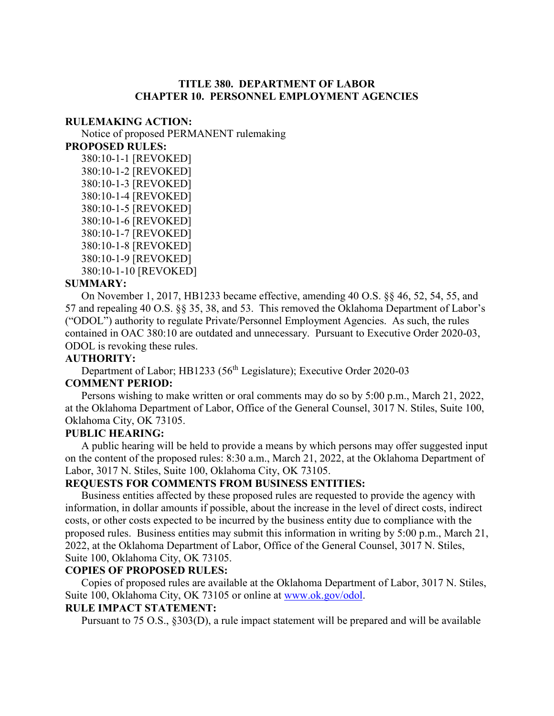### **TITLE 380. DEPARTMENT OF LABOR CHAPTER 10. PERSONNEL EMPLOYMENT AGENCIES**

#### **RULEMAKING ACTION:**

Notice of proposed PERMANENT rulemaking

**PROPOSED RULES:**

380:10-1-1 [REVOKED] 380:10-1-2 [REVOKED] 380:10-1-3 [REVOKED] 380:10-1-4 [REVOKED] 380:10-1-5 [REVOKED] 380:10-1-6 [REVOKED] 380:10-1-7 [REVOKED] 380:10-1-8 [REVOKED] 380:10-1-9 [REVOKED] 380:10-1-10 [REVOKED]

#### **SUMMARY:**

On November 1, 2017, HB1233 became effective, amending 40 O.S. §§ 46, 52, 54, 55, and 57 and repealing 40 O.S. §§ 35, 38, and 53. This removed the Oklahoma Department of Labor's ("ODOL") authority to regulate Private/Personnel Employment Agencies. As such, the rules contained in OAC 380:10 are outdated and unnecessary. Pursuant to Executive Order 2020-03, ODOL is revoking these rules.

#### **AUTHORITY:**

Department of Labor; HB1233 (56<sup>th</sup> Legislature); Executive Order 2020-03

## **COMMENT PERIOD:**

Persons wishing to make written or oral comments may do so by 5:00 p.m., March 21, 2022, at the Oklahoma Department of Labor, Office of the General Counsel, 3017 N. Stiles, Suite 100, Oklahoma City, OK 73105.

#### **PUBLIC HEARING:**

A public hearing will be held to provide a means by which persons may offer suggested input on the content of the proposed rules: 8:30 a.m., March 21, 2022, at the Oklahoma Department of Labor, 3017 N. Stiles, Suite 100, Oklahoma City, OK 73105.

#### **REQUESTS FOR COMMENTS FROM BUSINESS ENTITIES:**

Business entities affected by these proposed rules are requested to provide the agency with information, in dollar amounts if possible, about the increase in the level of direct costs, indirect costs, or other costs expected to be incurred by the business entity due to compliance with the proposed rules. Business entities may submit this information in writing by 5:00 p.m., March 21, 2022, at the Oklahoma Department of Labor, Office of the General Counsel, 3017 N. Stiles, Suite 100, Oklahoma City, OK 73105.

#### **COPIES OF PROPOSED RULES:**

Copies of proposed rules are available at the Oklahoma Department of Labor, 3017 N. Stiles, Suite 100, Oklahoma City, OK 73105 or online at [www.ok.gov/odol.](http://www.ok.gov/odol)

# **RULE IMPACT STATEMENT:**

Pursuant to 75 O.S., §303(D), a rule impact statement will be prepared and will be available